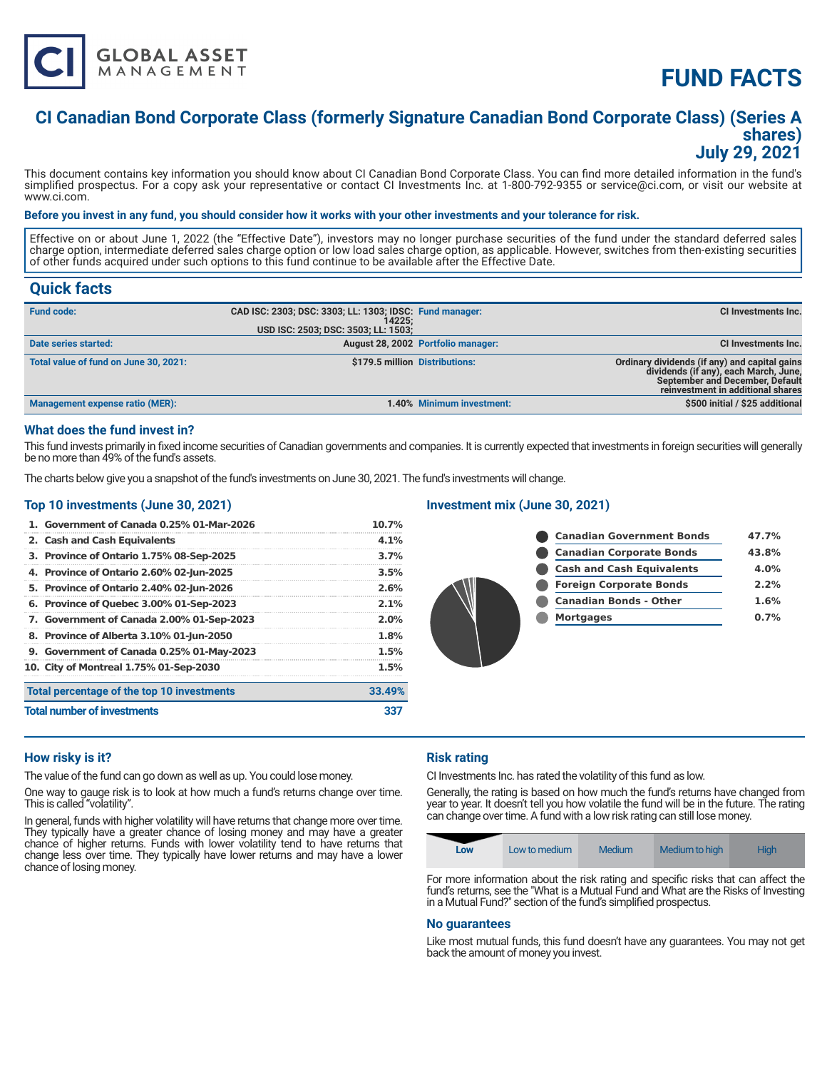

# **FUND FACTS**

# **CI Canadian Bond Corporate Class (formerly Signature Canadian Bond Corporate Class) (Series A shares) July 29, 2021**

This document contains key information you should know about CI Canadian Bond Corporate Class. You can find more detailed information in the fund's simplified prospectus. For a copy ask your representative or contact CI Investments Inc. at 1-800-792-9355 or service@ci.com, or visit our website at www.ci.com.

#### **Before you invest in any fund, you should consider how it works with your other investments and your tolerance for risk.**

Effective on or about June 1, 2022 (the "Effective Date"), investors may no longer purchase securities of the fund under the standard deferred sales charge option, intermediate deferred sales charge option or low load sales charge option, as applicable. However, switches from then-existing securities of other funds acquired under such options to this fund continue to be available after the Effective Date.

# **Quick facts**

| <b>Fund code:</b>                      | CAD ISC: 2303; DSC: 3303; LL: 1303; IDSC: Fund manager:<br>14225:<br>USD ISC: 2503; DSC: 3503; LL: 1503; |                                    | CI Investments Inc.                                                                                                                                            |
|----------------------------------------|----------------------------------------------------------------------------------------------------------|------------------------------------|----------------------------------------------------------------------------------------------------------------------------------------------------------------|
| Date series started:                   |                                                                                                          | August 28, 2002 Portfolio manager: | <b>CI Investments Inc.</b>                                                                                                                                     |
| Total value of fund on June 30, 2021:  | \$179.5 million Distributions:                                                                           |                                    | Ordinary dividends (if any) and capital gains<br>dividends (if any), each March, June,<br>September and December, Default<br>reinvestment in additional shares |
| <b>Management expense ratio (MER):</b> |                                                                                                          | 1.40% Minimum investment:          | \$500 initial / \$25 additional                                                                                                                                |

#### **What does the fund invest in?**

This fund invests primarily in fixed income securities of Canadian governments and companies. It is currently expected that investments in foreign securities will generally be no more than 49% of the fund's assets.

The charts below give you a snapshot of the fund's investments on June 30, 2021. The fund's investments will change.

#### **Top 10 investments (June 30, 2021)**

| 1. Government of Canada 0.25% 01-Mar-2026  | $10.7\%$ |
|--------------------------------------------|----------|
| 2. Cash and Cash Equivalents               | 4.1%     |
| 3. Province of Ontario 1.75% 08-Sep-2025   | 3.7%     |
| 4. Province of Ontario 2.60% 02-Jun-2025   | 3.5%     |
| 5. Province of Ontario 2.40% 02-Jun-2026   | 2.6%     |
| 6. Province of Quebec 3.00% 01-Sep-2023    | 2.1%     |
| 7. Government of Canada 2.00% 01-Sep-2023  | 2.0%     |
| 8. Province of Alberta 3.10% 01-Jun-2050   | 1.8%     |
| 9. Government of Canada 0.25% 01-May-2023  | 1.5%     |
| 10. City of Montreal 1.75% 01-Sep-2030     | 1.5%     |
| Total percentage of the top 10 investments | 33.49%   |
| <b>Total number of investments</b>         | 337      |

#### **Investment mix (June 30, 2021)**



#### **How risky is it?**

The value of the fund can go down as well as up. You could lose money.

One way to gauge risk is to look at how much a fund's returns change over time. This is called "volatility".

In general, funds with higher volatility will have returns that change more over time. They typically have a greater chance of losing money and may have a greater chance of higher returns. Funds with lower volatility tend to have returns that change less over time. They typically have lower returns and may have a lower chance of losing money.

## **Risk rating**

CI Investments Inc. has rated the volatility of this fund as low.

Generally, the rating is based on how much the fund's returns have changed from year to year. It doesn't tell you how volatile the fund will be in the future. The rating can change over time. A fund with a low risk rating can still lose money.

| Low | Low to medium | <b>Medium</b> | Medium to high | High          |
|-----|---------------|---------------|----------------|---------------|
|     | .<br>$\sim$   | $\sim$        | $\sim$         | $\sim$ $\sim$ |

For more information about the risk rating and specific risks that can affect the fund's returns, see the "What is a Mutual Fund and What are the Risks of Investing in a Mutual Fund?" section of the fund's simplified prospectus.

#### **No guarantees**

Like most mutual funds, this fund doesn't have any guarantees. You may not get back the amount of money you invest.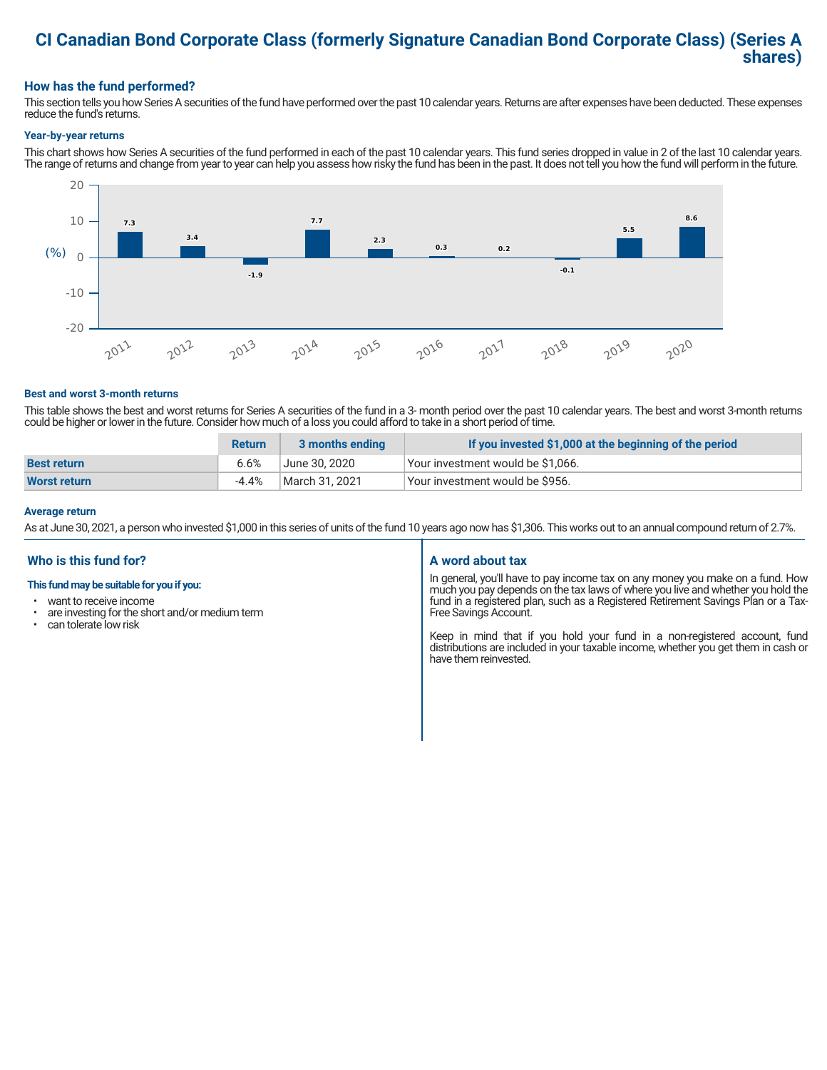# **CI Canadian Bond Corporate Class (formerly Signature Canadian Bond Corporate Class) (Series A shares)**

## **How has the fund performed?**

This section tells you how Series A securities of the fund have performed over the past 10 calendar years. Returns are after expenses have been deducted. These expenses reduce the fund's returns.

#### **Year-by-year returns**

This chart shows how Series A securities of the fund performed in each of the past 10 calendar years. This fund series dropped in value in 2 of the last 10 calendar years. The range of returns and change from year to year can help you assess how risky the fund has been in the past. It does not tell you how the fund will perform in the future.



#### **Best and worst 3-month returns**

This table shows the best and worst returns for Series A securities of the fund in a 3- month period over the past 10 calendar years. The best and worst 3-month returns could be higher or lower in the future. Consider how much of a loss you could afford to take in a short period of time.

|                     | <b>Return</b> | 3 months ending | If you invested \$1,000 at the beginning of the period |
|---------------------|---------------|-----------------|--------------------------------------------------------|
| <b>Best return</b>  | 6.6%          | June 30. 2020   | Your investment would be \$1,066.                      |
| <b>Worst return</b> | -4.4%         | March 31. 2021  | Your investment would be \$956.                        |

#### **Average return**

As at June 30, 2021, a person who invested \$1,000 in this series of units of the fund 10 years ago now has \$1,306. This works out to an annual compound return of 2.7%.

### **Who is this fund for?**

#### **This fund may be suitable for you if you:**

- want to receive income
- $\cdot$  are investing for the short and/or medium term<br> $\cdot$  can telerate low risk
- can tolerate low risk

#### **A word about tax**

In general, you'll have to pay income tax on any money you make on a fund. How much you pay depends on the tax laws of where you live and whether you hold the fund in a registered plan, such as a Registered Retirement Savings Plan or a Tax-Free Savings Account.

Keep in mind that if you hold your fund in a non-registered account, fund distributions are included in your taxable income, whether you get them in cash or have them reinvested.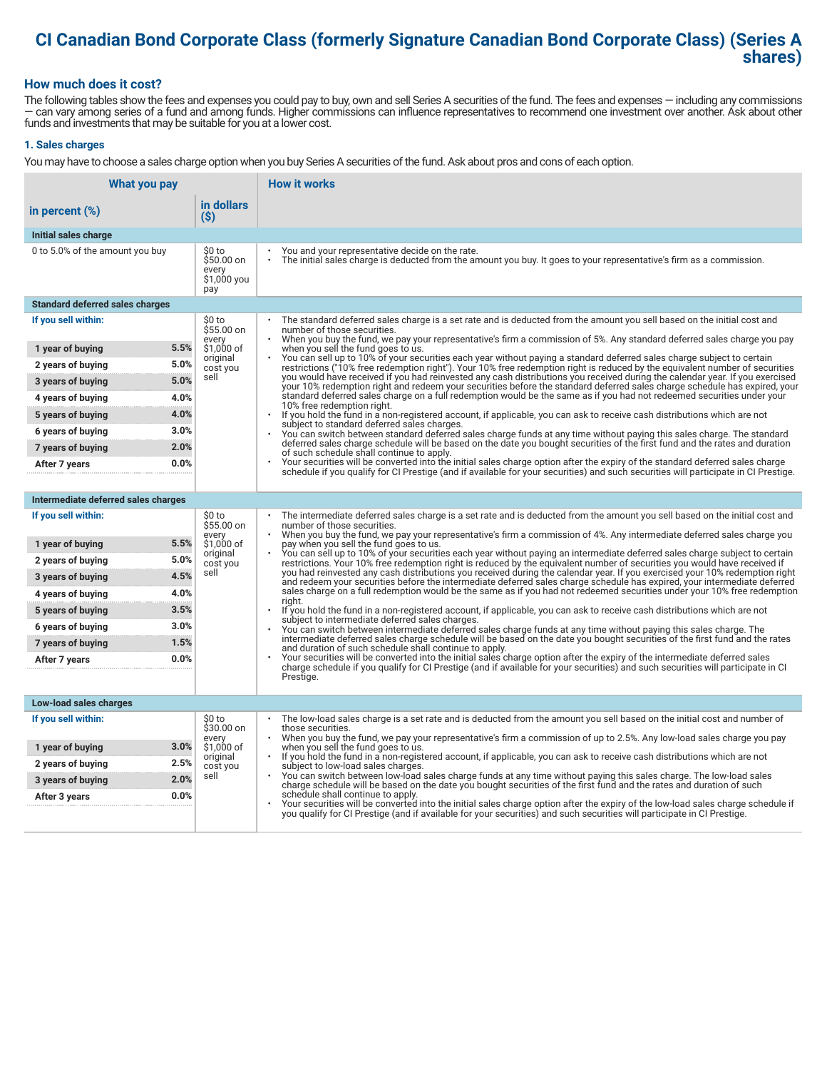# **CI Canadian Bond Corporate Class (formerly Signature Canadian Bond Corporate Class) (Series A shares)**

### **How much does it cost?**

The following tables show the fees and expenses you could pay to buy, own and sell Series A securities of the fund. The fees and expenses — including any commissions — can vary among series of a fund and among funds. Higher commissions can influence representatives to recommend one investment over another. Ask about other funds and investments that may be suitable for you at a lower cost.

#### **1. Sales charges**

You may have to choose a sales charge option when you buy Series A securities of the fund. Ask about pros and cons of each option.

| What you pay                           |                                                     | <b>How it works</b>                                                                                                                                                                                                                                                                   |  |
|----------------------------------------|-----------------------------------------------------|---------------------------------------------------------------------------------------------------------------------------------------------------------------------------------------------------------------------------------------------------------------------------------------|--|
| in percent (%)                         | in dollars<br>$($ \$)                               |                                                                                                                                                                                                                                                                                       |  |
| Initial sales charge                   |                                                     |                                                                                                                                                                                                                                                                                       |  |
| 0 to 5.0% of the amount you buy        | \$0 to<br>\$50.00 on<br>every<br>\$1,000 you<br>pay | You and your representative decide on the rate.<br>The initial sales charge is deducted from the amount you buy. It goes to your representative's firm as a commission.                                                                                                               |  |
| <b>Standard deferred sales charges</b> |                                                     |                                                                                                                                                                                                                                                                                       |  |
| If you sell within:                    | \$0 to<br>\$55.00 on                                | The standard deferred sales charge is a set rate and is deducted from the amount you sell based on the initial cost and<br>number of those securities.                                                                                                                                |  |
| 1 year of buying                       | every<br>5.5%<br>\$1,000 of                         | When you buy the fund, we pay your representative's firm a commission of 5%. Any standard deferred sales charge you pay<br>when you sell the fund goes to us.                                                                                                                         |  |
| 2 years of buying                      | original<br>5.0%<br>cost you                        | You can sell up to 10% of your securities each year without paying a standard deferred sales charge subject to certain<br>restrictions ("10% free redemption right"). Your 10% free redemption right is reduced by the equivalent number of securities                                |  |
| 3 years of buying                      | sell<br>5.0%                                        | you would have received if you had reinvested any cash distributions you received during the calendar year. If you exercised<br>your 10% redemption right and redeem your securities before the standard deferred sales charge schedule has expired, your                             |  |
| 4 years of buying                      | 4.0%                                                | standard deferred sales charge on a full redemption would be the same as if you had not redeemed securities under your<br>10% free redemption right.                                                                                                                                  |  |
| 5 years of buying                      | 4.0%                                                | $\ddot{\phantom{0}}$<br>If you hold the fund in a non-registered account, if applicable, you can ask to receive cash distributions which are not                                                                                                                                      |  |
| 6 years of buying                      | 3.0%                                                | subject to standard deferred sales charges.<br>You can switch between standard deferred sales charge funds at any time without paying this sales charge. The standard                                                                                                                 |  |
| 7 years of buying                      | 2.0%                                                | deferred sales charge schedule will be based on the date you bought securities of the first fund and the rates and duration<br>of such schedule shall continue to apply.                                                                                                              |  |
| After 7 years                          | 0.0%                                                | Your securities will be converted into the initial sales charge option after the expiry of the standard deferred sales charge<br>schedule if you qualify for CI Prestige (and if available for your securities) and such securities will participate in CI Prestige.                  |  |
|                                        |                                                     |                                                                                                                                                                                                                                                                                       |  |
| Intermediate deferred sales charges    |                                                     |                                                                                                                                                                                                                                                                                       |  |
| If you sell within:                    | \$0 to<br>\$55.00 on<br>every                       | The intermediate deferred sales charge is a set rate and is deducted from the amount you sell based on the initial cost and<br>number of those securities.<br>When you buy the fund, we pay your representative's firm a commission of 4%. Any intermediate deferred sales charge you |  |
| 1 year of buying                       | 5.5%<br>\$1,000 of                                  | pay when you sell the fund goes to us.<br>You can sell up to 10% of your securities each year without paying an intermediate deferred sales charge subject to certain                                                                                                                 |  |
| 2 years of buying                      | original<br>5.0%<br>cost you                        | restrictions. Your 10% free redemption right is reduced by the equivalent number of securities you would have received if                                                                                                                                                             |  |
| 3 years of buying                      | sell<br>4.5%                                        | you had reinvested any cash distributions you received during the calendar year. If you exercised your 10% redemption right<br>and redeem your securities before the intermediate deferred sales charge schedule has expired, your intermediate deferred                              |  |
| 4 years of buying                      | 4.0%                                                | sales charge on a full redemption would be the same as if you had not redeemed securities under your 10% free redemption<br>riaht.                                                                                                                                                    |  |
| 5 years of buying                      | 3.5%                                                | If you hold the fund in a non-registered account, if applicable, you can ask to receive cash distributions which are not<br>subject to intermediate deferred sales charges.                                                                                                           |  |
| 6 years of buying                      | 3.0%                                                | You can switch between intermediate deferred sales charge funds at any time without paying this sales charge. The<br>intermediate deferred sales charge schedule will be based on the date you bought securities of the first fund and the rates                                      |  |
| 7 years of buying                      | 1.5%                                                | and duration of such schedule shall continue to apply.                                                                                                                                                                                                                                |  |
| After 7 years                          | 0.0%                                                | Your securities will be converted into the initial sales charge option after the expiry of the intermediate deferred sales<br>charge schedule if you qualify for CI Prestige (and if available for your securities) and such securities will participate in CI                        |  |
|                                        |                                                     | Prestige.                                                                                                                                                                                                                                                                             |  |
| Low-load sales charges                 |                                                     |                                                                                                                                                                                                                                                                                       |  |
| If you sell within:                    | \$0 to<br>\$30.00 on                                | The low-load sales charge is a set rate and is deducted from the amount you sell based on the initial cost and number of<br>those securities.                                                                                                                                         |  |
| 1 year of buying                       | every<br>3.0%<br>\$1,000 of                         | When you buy the fund, we pay your representative's firm a commission of up to 2.5%. Any low-load sales charge you pay<br>when you sell the fund goes to us.                                                                                                                          |  |
| 2 years of buying                      | original<br>2.5%<br>cost you                        | If you hold the fund in a non-registered account, if applicable, you can ask to receive cash distributions which are not<br>subject to low-load sales charges.                                                                                                                        |  |
| 3 years of buying                      | sell<br>2.0%                                        | You can switch between low-load sales charge funds at any time without paying this sales charge. The low-load sales<br>charge schedule will be based on the date you bought securities of the first fund and the rates and duration of such                                           |  |
| After 3 years                          | 0.0%                                                | schedule shall continue to apply.<br>Your securities will be converted into the initial sales charge option after the expiry of the low-load sales charge schedule if                                                                                                                 |  |
|                                        |                                                     | you qualify for CI Prestige (and if available for your securities) and such securities will participate in CI Prestige.                                                                                                                                                               |  |